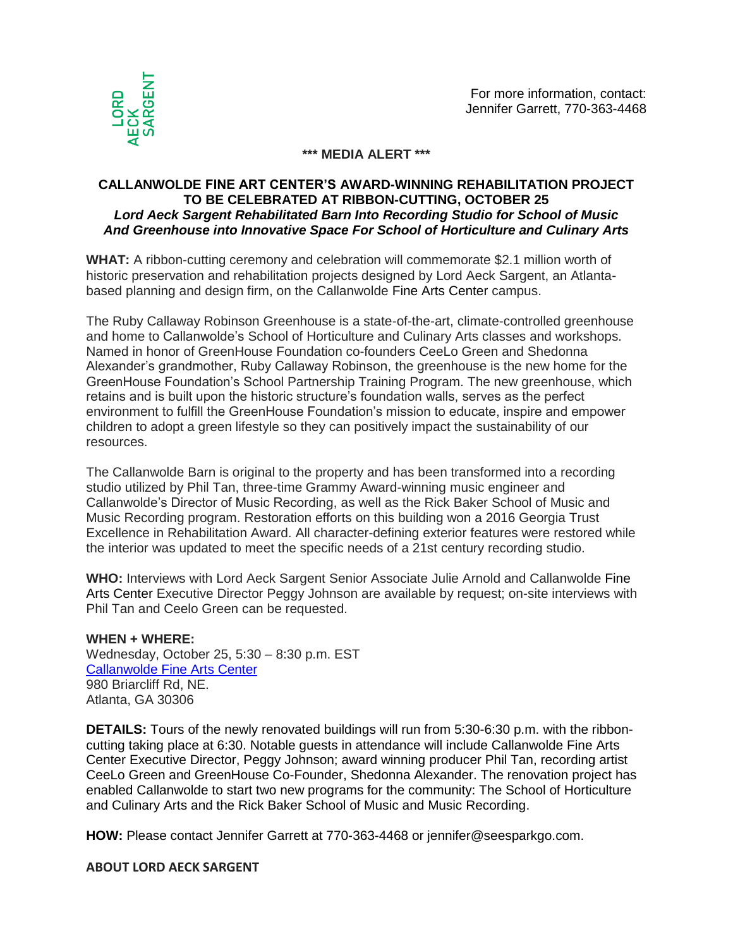

## **\*\*\* MEDIA ALERT \*\*\***

## **CALLANWOLDE FINE ART CENTER'S AWARD-WINNING REHABILITATION PROJECT TO BE CELEBRATED AT RIBBON-CUTTING, OCTOBER 25** *Lord Aeck Sargent Rehabilitated Barn Into Recording Studio for School of Music And Greenhouse into Innovative Space For School of Horticulture and Culinary Arts*

**WHAT:** A ribbon-cutting ceremony and celebration will commemorate \$2.1 million worth of historic preservation and rehabilitation projects designed by Lord Aeck Sargent, an Atlantabased planning and design firm, on the Callanwolde Fine Arts Center campus.

The Ruby Callaway Robinson Greenhouse is a state-of-the-art, climate-controlled greenhouse and home to Callanwolde's School of Horticulture and Culinary Arts classes and workshops. Named in honor of GreenHouse Foundation co-founders CeeLo Green and Shedonna Alexander's grandmother, Ruby Callaway Robinson, the greenhouse is the new home for the GreenHouse Foundation's School Partnership Training Program. The new greenhouse, which retains and is built upon the historic structure's foundation walls, serves as the perfect environment to fulfill the GreenHouse Foundation's mission to educate, inspire and empower children to adopt a green lifestyle so they can positively impact the sustainability of our resources.

The Callanwolde Barn is original to the property and has been transformed into a recording studio utilized by Phil Tan, three-time Grammy Award-winning music engineer and Callanwolde's Director of Music Recording, as well as the Rick Baker School of Music and Music Recording program. Restoration efforts on this building won a 2016 Georgia Trust Excellence in Rehabilitation Award. All character-defining exterior features were restored while the interior was updated to meet the specific needs of a 21st century recording studio.

**WHO:** Interviews with Lord Aeck Sargent Senior Associate Julie Arnold and Callanwolde Fine Arts Center Executive Director Peggy Johnson are available by request; on-site interviews with Phil Tan and Ceelo Green can be requested.

## **WHEN + WHERE:**

Wednesday, October 25, 5:30 – 8:30 p.m. EST [Callanwolde Fine Arts Center](http://callanwolde.org/) 980 Briarcliff Rd, NE. Atlanta, GA 30306

**DETAILS:** Tours of the newly renovated buildings will run from 5:30-6:30 p.m. with the ribboncutting taking place at 6:30. Notable guests in attendance will include Callanwolde Fine Arts Center Executive Director, Peggy Johnson; award winning producer Phil Tan, recording artist CeeLo Green and GreenHouse Co-Founder, Shedonna Alexander. The renovation project has enabled Callanwolde to start two new programs for the community: The School of Horticulture and Culinary Arts and the Rick Baker School of Music and Music Recording.

**HOW:** Please contact Jennifer Garrett at 770-363-4468 or jennifer@seesparkgo.com.

## **ABOUT LORD AECK SARGENT**